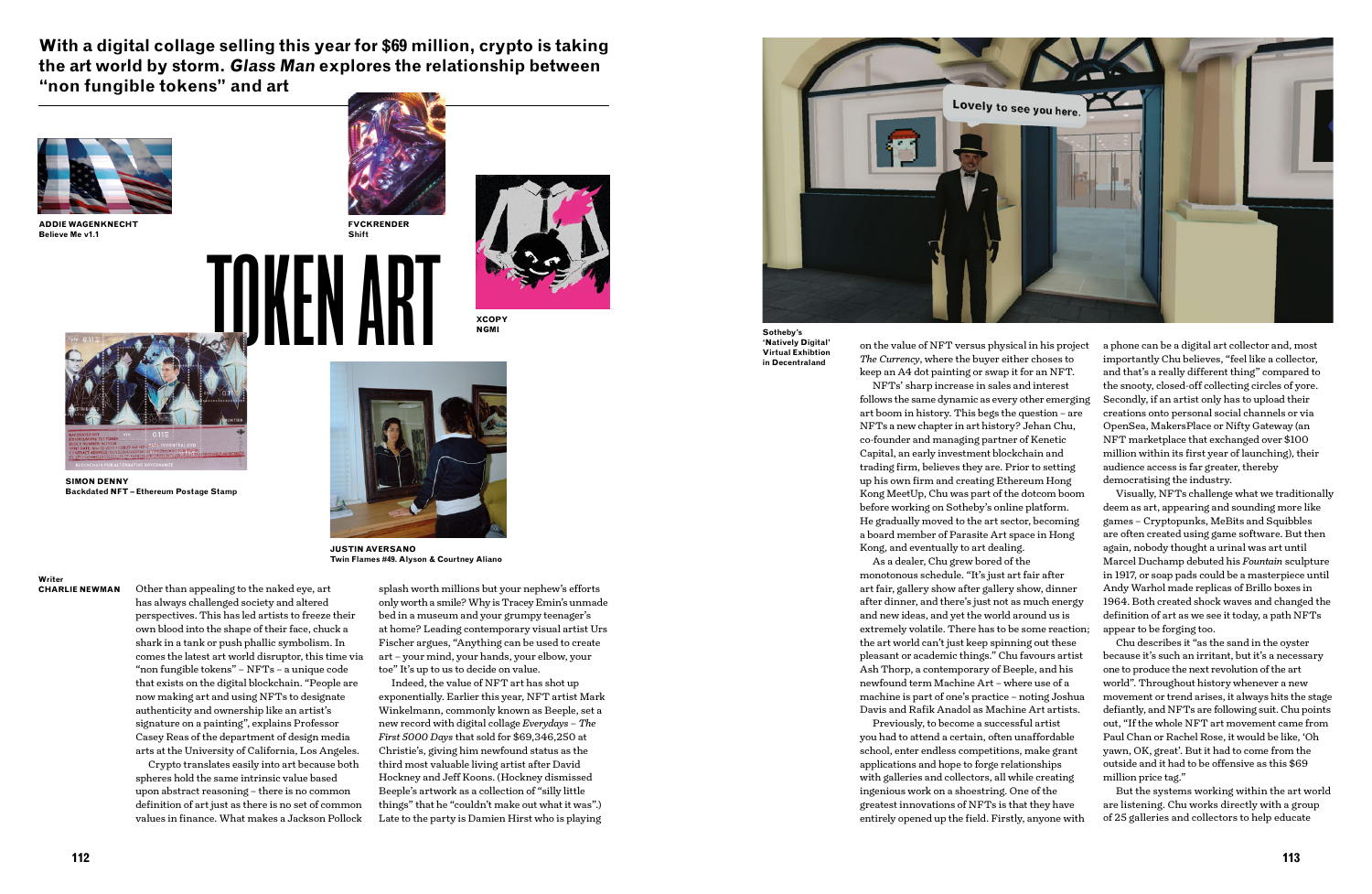

Other than appealing to the naked eye, art has always challenged society and altered perspectives. This has led artists to freeze their own blood into the shape of their face, chuck a shark in a tank or push phallic symbolism. In comes the latest art world disruptor, this time via "non fungible tokens" – NFTs – a unique code that exists on the digital blockchain. "People are now making art and using NFTs to designate authenticity and ownership like an artist's signature on a painting", explains Professor Casey Reas of the department of design media arts at the University of California, Los Angeles.

Crypto translates easily into art because both spheres hold the same intrinsic value based upon abstract reasoning – there is no common definition of art just as there is no set of common values in finance. What makes a Jackson Pollock

splash worth millions but your nephew's efforts only worth a smile? Why is Tracey Emin's unmade bed in a museum and your grumpy teenager's at home? Leading contemporary visual artist Urs Fischer argues, "Anything can be used to create art – your mind, your hands, your elbow, your toe" It's up to us to decide on value.

Indeed, the value of NFT art has shot up exponentially. Earlier this year, NFT artist Mark Winkelmann, commonly known as Beeple, set a new record with digital collage *Everydays – The First 5000 Days* that sold for \$69,346,250 at Christie's, giving him newfound status as the third most valuable living artist after David Hockney and Jeff Koons. (Hockney dismissed Beeple's artwork as a collection of "silly little things" that he "couldn't make out what it was".) Late to the party is Damien Hirst who is playing



on the value of NFT versus physical in his project *The Currency*, where the buyer either choses to keep an A4 dot painting or swap it for an NFT.

NFTs' sharp increase in sales and interest follows the same dynamic as every other emerging art boom in history. This begs the question – are NFTs a new chapter in art history? Jehan Chu, co-founder and managing partner of Kenetic Capital, an early investment blockchain and trading firm, believes they are. Prior to setting up his own firm and creating Ethereum Hong Kong MeetUp, Chu was part of the dotcom boom before working on Sotheby's online platform. He gradually moved to the art sector, becoming a board member of Parasite Art space in Hong Kong, and eventually to art dealing.

As a dealer, Chu grew bored of the monotonous schedule. "It's just art fair after art fair, gallery show after gallery show, dinner after dinner, and there's just not as much energy and new ideas, and yet the world around us is extremely volatile. There has to be some reaction; the art world can't just keep spinning out these pleasant or academic things." Chu favours artist Ash Thorp, a contemporary of Beeple, and his newfound term Machine Art – where use of a machine is part of one's practice – noting Joshua Davis and Rafik Anadol as Machine Art artists.

Previously, to become a successful artist you had to attend a certain, often unaffordable school, enter endless competitions, make grant applications and hope to forge relationships with galleries and collectors, all while creating ingenious work on a shoestring. One of the greatest innovations of NFTs is that they have entirely opened up the field. Firstly, anyone with

a phone can be a digital art collector and, most importantly Chu believes, "feel like a collector, and that's a really different thing" compared to the snooty, closed-off collecting circles of yore. Secondly, if an artist only has to upload their creations onto personal social channels or via OpenSea, MakersPlace or Nifty Gateway (an NFT marketplace that exchanged over \$100 million within its first year of launching), their audience access is far greater, thereby democratising the industry.

Visually, NFTs challenge what we traditionally deem as art, appearing and sounding more like games – Cryptopunks, MeBits and Squibbles are often created using game software. But then again, nobody thought a urinal was art until Marcel Duchamp debuted his *Fountain* sculpture in 1917, or soap pads could be a masterpiece until Andy Warhol made replicas of Brillo boxes in 1964. Both created shock waves and changed the definition of art as we see it today, a path NFTs appear to be forging too.

Chu describes it "as the sand in the oyster because it's such an irritant, but it's a necessary one to produce the next revolution of the art world". Throughout history whenever a new movement or trend arises, it always hits the stage defiantly, and NFTs are following suit. Chu points out, "If the whole NFT art movement came from Paul Chan or Rachel Rose, it would be like, 'Oh yawn, OK, great'. But it had to come from the outside and it had to be offensive as this \$69 million price tag."

But the systems working within the art world are listening. Chu works directly with a group of 25 galleries and collectors to help educate

**With a digital collage selling this year for \$69 million, crypto is taking the art world by storm. Glass Man explores the relationship between "non fungible tokens" and art**

**Writer CHARLIE NEWMAN**

**Sotheby's 'Natively Digital' Virtual Exhibtion in Decentraland**



**ADDIE WAGENKNECHT Believe Me v1.1**



**SIMON DENNY Backdated NFT – Ethereum Postage Stamp**



**JUSTIN AVERSANO Twin Flames #49. Alyson & Courtney Aliano**



**XCOPY NGMI**



**FVCKRENDER Shift**